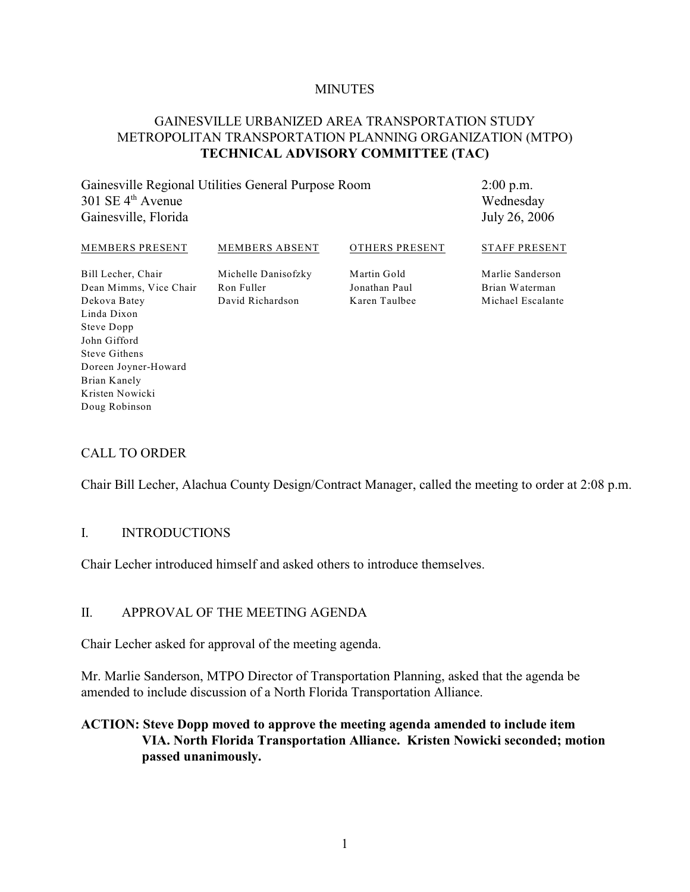#### **MINUTES**

## GAINESVILLE URBANIZED AREA TRANSPORTATION STUDY METROPOLITAN TRANSPORTATION PLANNING ORGANIZATION (MTPO) **TECHNICAL ADVISORY COMMITTEE (TAC)**

Gainesville Regional Utilities General Purpose Room  $301$  SE  $4<sup>th</sup>$  Avenue Gainesville, Florida

2:00 p.m. Wednesday July 26, 2006

#### MEMBERS PRESENT Bill Lecher, Chair MEMBERS ABSENT Michelle Danisofzky OTHERS PRESENT Martin Gold STAFF PRESENT Marlie Sanderson

Dean Mimms, Vice Chair Dekova Batey Linda Dixon Steve Dopp John Gifford Steve Githens Doreen Joyner-Howard Brian Kanely Kristen Nowicki Doug Robinson

Ron Fuller David Richardson Jonathan Paul Karen Taulbee Brian Waterman Michael Escalante

# CALL TO ORDER

Chair Bill Lecher, Alachua County Design/Contract Manager, called the meeting to order at 2:08 p.m.

#### I. INTRODUCTIONS

Chair Lecher introduced himself and asked others to introduce themselves.

#### II. APPROVAL OF THE MEETING AGENDA

Chair Lecher asked for approval of the meeting agenda.

Mr. Marlie Sanderson, MTPO Director of Transportation Planning, asked that the agenda be amended to include discussion of a North Florida Transportation Alliance.

## **ACTION: Steve Dopp moved to approve the meeting agenda amended to include item VIA. North Florida Transportation Alliance. Kristen Nowicki seconded; motion passed unanimously.**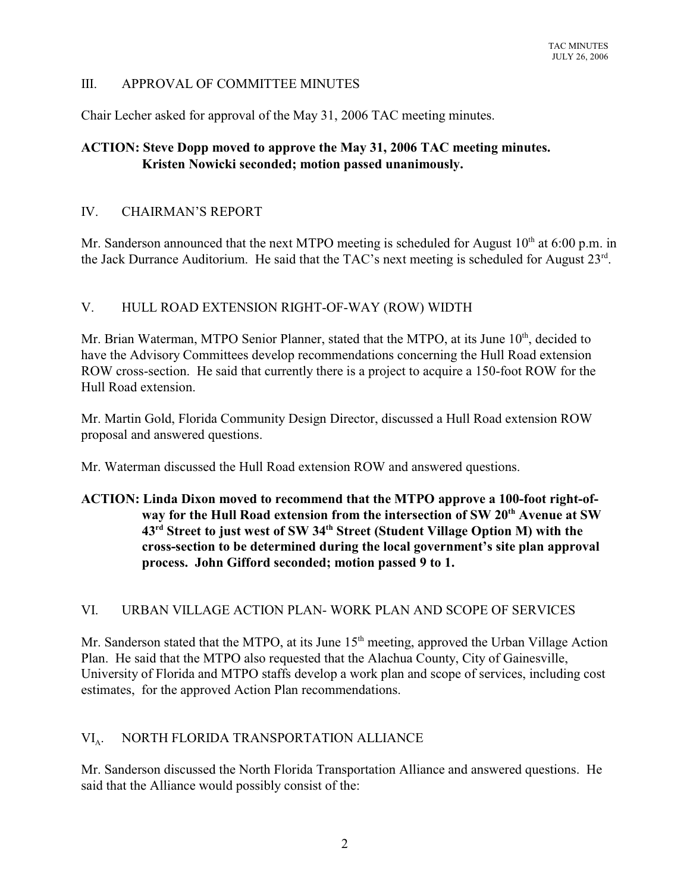## III. APPROVAL OF COMMITTEE MINUTES

Chair Lecher asked for approval of the May 31, 2006 TAC meeting minutes.

# **ACTION: Steve Dopp moved to approve the May 31, 2006 TAC meeting minutes. Kristen Nowicki seconded; motion passed unanimously.**

## IV. CHAIRMAN'S REPORT

Mr. Sanderson announced that the next MTPO meeting is scheduled for August  $10<sup>th</sup>$  at 6:00 p.m. in the Jack Durrance Auditorium. He said that the TAC's next meeting is scheduled for August  $23<sup>rd</sup>$ .

### V. HULL ROAD EXTENSION RIGHT-OF-WAY (ROW) WIDTH

Mr. Brian Waterman, MTPO Senior Planner, stated that the MTPO, at its June 10<sup>th</sup>, decided to have the Advisory Committees develop recommendations concerning the Hull Road extension ROW cross-section. He said that currently there is a project to acquire a 150-foot ROW for the Hull Road extension.

Mr. Martin Gold, Florida Community Design Director, discussed a Hull Road extension ROW proposal and answered questions.

Mr. Waterman discussed the Hull Road extension ROW and answered questions.

# **ACTION: Linda Dixon moved to recommend that the MTPO approve a 100-foot right-ofway for the Hull Road extension from the intersection of SW 20 th Avenue at SW** 43<sup>rd</sup> Street to just west of SW 34<sup>th</sup> Street (Student Village Option M) with the **cross-section to be determined during the local government's site plan approval process. John Gifford seconded; motion passed 9 to 1.**

#### VI. URBAN VILLAGE ACTION PLAN- WORK PLAN AND SCOPE OF SERVICES

Mr. Sanderson stated that the MTPO, at its June  $15<sup>th</sup>$  meeting, approved the Urban Village Action Plan. He said that the MTPO also requested that the Alachua County, City of Gainesville, University of Florida and MTPO staffs develop a work plan and scope of services, including cost estimates, for the approved Action Plan recommendations.

#### $VI<sub>A</sub>$ . . NORTH FLORIDA TRANSPORTATION ALLIANCE

Mr. Sanderson discussed the North Florida Transportation Alliance and answered questions. He said that the Alliance would possibly consist of the: